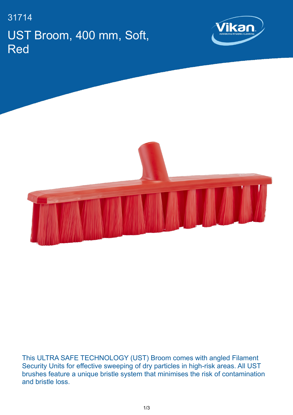## 31714 UST Broom, 400 mm, Soft, Red





This ULTRA SAFE TECHNOLOGY (UST) Broom comes with angled Filament Security Units for effective sweeping of dry particles in high-risk areas. All UST brushes feature a unique bristle system that minimises the risk of contamination and bristle loss.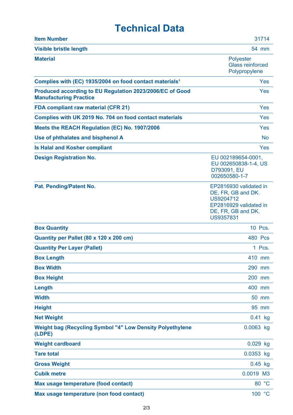## **Technical Data**

| <b>Item Number</b>                                                                        | 31714                                                                                                                  |
|-------------------------------------------------------------------------------------------|------------------------------------------------------------------------------------------------------------------------|
| <b>Visible bristle length</b>                                                             | 54 mm                                                                                                                  |
| <b>Material</b>                                                                           | <b>Polyester</b><br><b>Glass reinforced</b><br>Polypropylene                                                           |
| Complies with (EC) 1935/2004 on food contact materials <sup>1</sup>                       | Yes                                                                                                                    |
| Produced according to EU Regulation 2023/2006/EC of Good<br><b>Manufacturing Practice</b> | Yes                                                                                                                    |
| <b>FDA compliant raw material (CFR 21)</b>                                                | Yes                                                                                                                    |
| Complies with UK 2019 No. 704 on food contact materials                                   | <b>Yes</b>                                                                                                             |
| Meets the REACH Regulation (EC) No. 1907/2006                                             | Yes                                                                                                                    |
| Use of phthalates and bisphenol A                                                         | <b>No</b>                                                                                                              |
| <b>Is Halal and Kosher compliant</b>                                                      | <b>Yes</b>                                                                                                             |
| <b>Design Registration No.</b>                                                            | EU 002189654-0001,<br>EU 002650838-1-4, US<br>D793091, EU<br>002650580-1-7                                             |
| Pat. Pending/Patent No.                                                                   | EP2816930 validated in<br>DE, FR, GB and DK.<br>US9204712<br>EP2816929 validated in<br>DE, FR, GB and DK.<br>US9357831 |
| <b>Box Quantity</b>                                                                       | 10 Pcs.                                                                                                                |
| Quantity per Pallet (80 x 120 x 200 cm)                                                   | <b>480 Pcs</b>                                                                                                         |
| <b>Quantity Per Layer (Pallet)</b>                                                        | 1 Pcs.                                                                                                                 |
| <b>Box Length</b>                                                                         | 410 mm                                                                                                                 |
| <b>Box Width</b>                                                                          | 290 mm                                                                                                                 |
| <b>Box Height</b>                                                                         | 200 mm                                                                                                                 |
| Length                                                                                    | 400 mm                                                                                                                 |
| <b>Width</b>                                                                              | 50 mm                                                                                                                  |
| <b>Height</b>                                                                             | 95 mm                                                                                                                  |
| <b>Net Weight</b>                                                                         | $0.41$ kg                                                                                                              |
| <b>Weight bag (Recycling Symbol "4" Low Density Polyethylene</b><br>(LDPE)                | 0.0063 kg                                                                                                              |
| <b>Weight cardboard</b>                                                                   | $0.029$ kg                                                                                                             |
| <b>Tare total</b>                                                                         | 0.0353 kg                                                                                                              |
| <b>Gross Weight</b>                                                                       | $0.45$ kg                                                                                                              |
| <b>Cubik metre</b>                                                                        | 0.0019 M3                                                                                                              |
| Max usage temperature (food contact)                                                      | 80 °C                                                                                                                  |
| Max usage temperature (non food contact)                                                  | 100 °C                                                                                                                 |